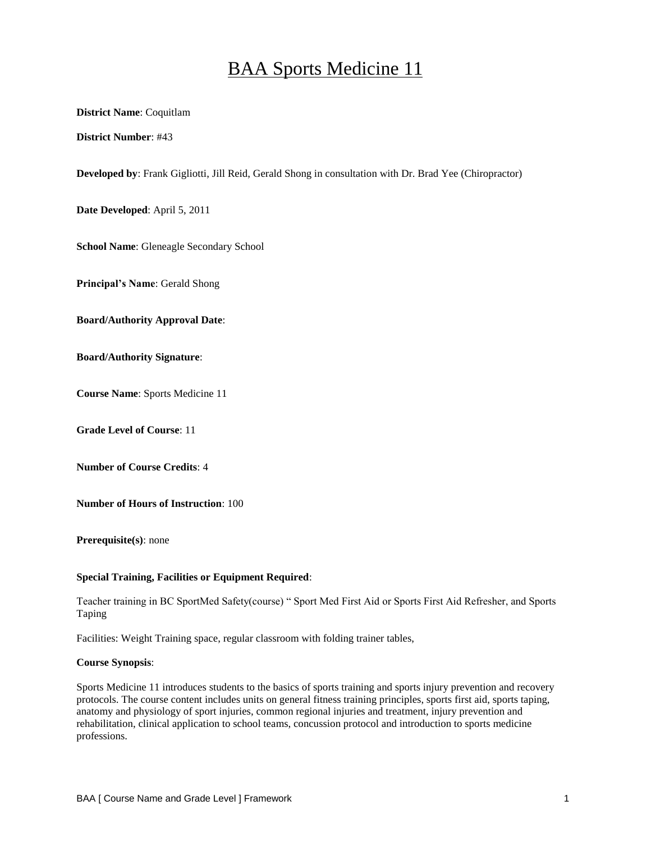# BAA Sports Medicine 11

## **District Name**: Coquitlam

**District Number**: #43

**Developed by**: Frank Gigliotti, Jill Reid, Gerald Shong in consultation with Dr. Brad Yee (Chiropractor)

**Date Developed**: April 5, 2011

**School Name**: Gleneagle Secondary School

**Principal's Name**: Gerald Shong

**Board/Authority Approval Date**:

**Board/Authority Signature**:

**Course Name**: Sports Medicine 11

**Grade Level of Course**: 11

**Number of Course Credits**: 4

**Number of Hours of Instruction**: 100

**Prerequisite(s)**: none

#### **Special Training, Facilities or Equipment Required**:

Teacher training in BC SportMed Safety(course) " Sport Med First Aid or Sports First Aid Refresher, and Sports Taping

Facilities: Weight Training space, regular classroom with folding trainer tables,

#### **Course Synopsis**:

Sports Medicine 11 introduces students to the basics of sports training and sports injury prevention and recovery protocols. The course content includes units on general fitness training principles, sports first aid, sports taping, anatomy and physiology of sport injuries, common regional injuries and treatment, injury prevention and rehabilitation, clinical application to school teams, concussion protocol and introduction to sports medicine professions.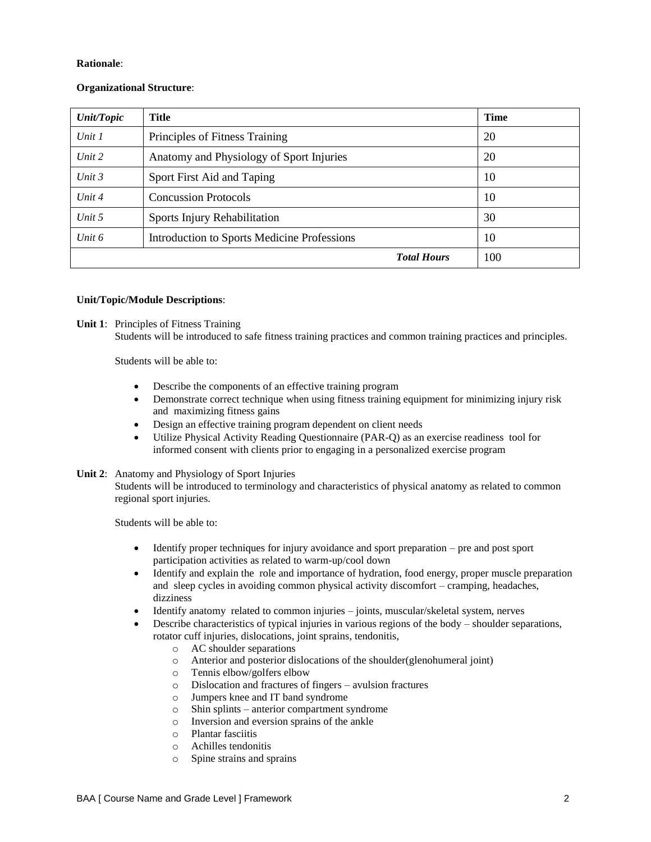## **Rationale**:

# **Organizational Structure**:

| <b>Unit/Topic</b> | <b>Title</b>                                | <b>Time</b> |
|-------------------|---------------------------------------------|-------------|
| Unit $1$          | Principles of Fitness Training              | 20          |
| Unit 2            | Anatomy and Physiology of Sport Injuries    | 20          |
| Unit 3            | Sport First Aid and Taping                  | 10          |
| Unit $4$          | <b>Concussion Protocols</b>                 | 10          |
| Unit 5            | Sports Injury Rehabilitation                | 30          |
| Unit 6            | Introduction to Sports Medicine Professions | 10          |
|                   | <b>Total Hours</b>                          | 100         |

## **Unit/Topic/Module Descriptions**:

**Unit 1**: Principles of Fitness Training

Students will be introduced to safe fitness training practices and common training practices and principles.

Students will be able to:

- Describe the components of an effective training program
- Demonstrate correct technique when using fitness training equipment for minimizing injury risk and maximizing fitness gains
- Design an effective training program dependent on client needs
- Utilize Physical Activity Reading Questionnaire (PAR-Q) as an exercise readiness tool for informed consent with clients prior to engaging in a personalized exercise program

# **Unit 2**: Anatomy and Physiology of Sport Injuries

Students will be introduced to terminology and characteristics of physical anatomy as related to common regional sport injuries.

Students will be able to:

- Identify proper techniques for injury avoidance and sport preparation pre and post sport participation activities as related to warm-up/cool down
- Identify and explain the role and importance of hydration, food energy, proper muscle preparation and sleep cycles in avoiding common physical activity discomfort – cramping, headaches, dizziness
- Identify anatomy related to common injuries joints, muscular/skeletal system, nerves
- Describe characteristics of typical injuries in various regions of the body shoulder separations, rotator cuff injuries, dislocations, joint sprains, tendonitis,
	- o AC shoulder separations
	- o Anterior and posterior dislocations of the shoulder(glenohumeral joint)
	- o Tennis elbow/golfers elbow
	- o Dislocation and fractures of fingers avulsion fractures
	- o Jumpers knee and IT band syndrome
	- o Shin splints anterior compartment syndrome
	- o Inversion and eversion sprains of the ankle
	- o Plantar fasciitis
	- o Achilles tendonitis
	- o Spine strains and sprains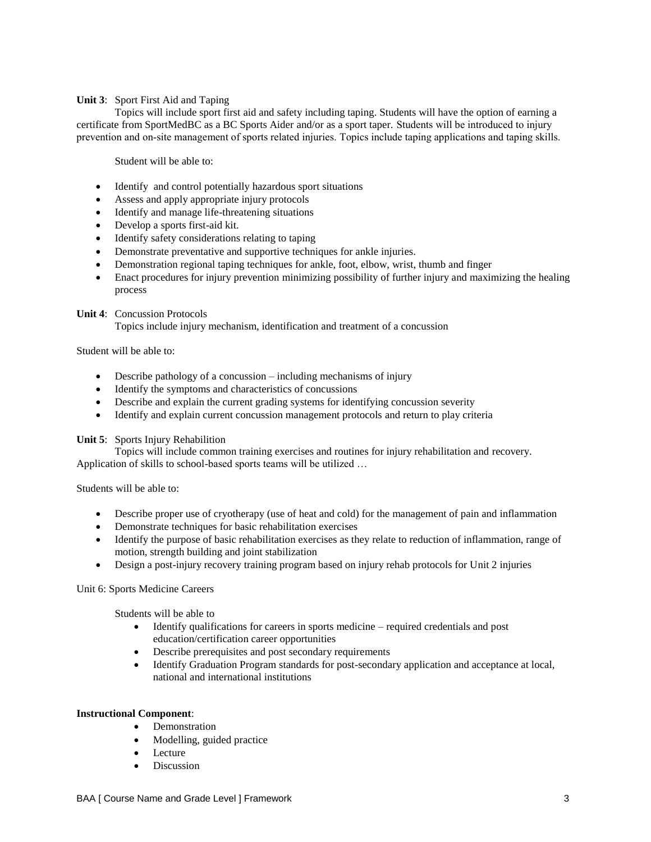## **Unit 3**: Sport First Aid and Taping

Topics will include sport first aid and safety including taping. Students will have the option of earning a certificate from SportMedBC as a BC Sports Aider and/or as a sport taper. Students will be introduced to injury prevention and on-site management of sports related injuries. Topics include taping applications and taping skills.

Student will be able to:

- Identify and control potentially hazardous sport situations
- Assess and apply appropriate injury protocols
- Identify and manage life-threatening situations
- Develop a sports first-aid kit.
- Identify safety considerations relating to taping
- Demonstrate preventative and supportive techniques for ankle injuries.
- Demonstration regional taping techniques for ankle, foot, elbow, wrist, thumb and finger
- Enact procedures for injury prevention minimizing possibility of further injury and maximizing the healing process

## **Unit 4**: Concussion Protocols

Topics include injury mechanism, identification and treatment of a concussion

Student will be able to:

- Describe pathology of a concussion including mechanisms of injury
- Identify the symptoms and characteristics of concussions
- Describe and explain the current grading systems for identifying concussion severity
- Identify and explain current concussion management protocols and return to play criteria

#### **Unit 5**: Sports Injury Rehabilition

Topics will include common training exercises and routines for injury rehabilitation and recovery. Application of skills to school-based sports teams will be utilized …

Students will be able to:

- Describe proper use of cryotherapy (use of heat and cold) for the management of pain and inflammation
- Demonstrate techniques for basic rehabilitation exercises
- Identify the purpose of basic rehabilitation exercises as they relate to reduction of inflammation, range of motion, strength building and joint stabilization
- Design a post-injury recovery training program based on injury rehab protocols for Unit 2 injuries

# Unit 6: Sports Medicine Careers

Students will be able to

- Identify qualifications for careers in sports medicine required credentials and post education/certification career opportunities
- Describe prerequisites and post secondary requirements
- Identify Graduation Program standards for post-secondary application and acceptance at local, national and international institutions

#### **Instructional Component**:

- Demonstration
- Modelling, guided practice
- Lecture
- Discussion